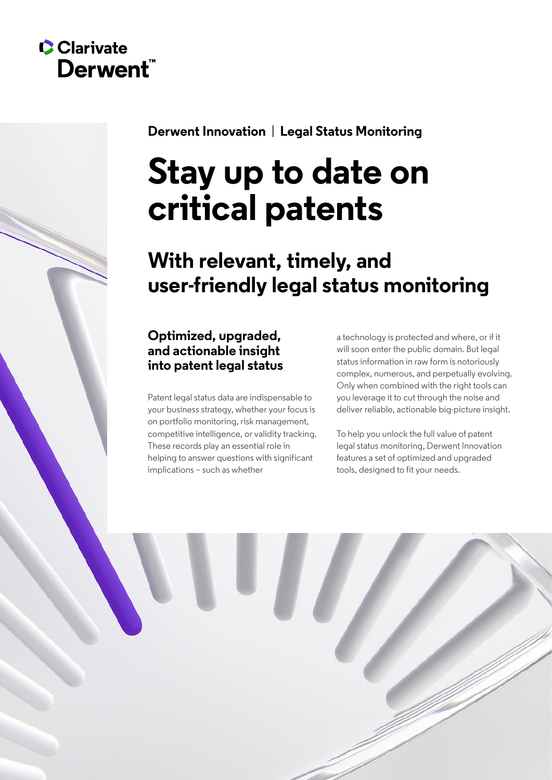# **C**Clarivate Derwent"

**Derwent Innovation** | **Legal Status Monitoring**

# **Stay up to date on critical patents**

# **With relevant, timely, and user-friendly legal status monitoring**

# **Optimized, upgraded, and actionable insight into patent legal status**

Patent legal status data are indispensable to your business strategy, whether your focus is on portfolio monitoring, risk management, competitive intelligence, or validity tracking. These records play an essential role in helping to answer questions with significant implications – such as whether

a technology is protected and where, or if it will soon enter the public domain. But legal status information in raw form is notoriously complex, numerous, and perpetually evolving. Only when combined with the right tools can you leverage it to cut through the noise and deliver reliable, actionable big-picture insight.

To help you unlock the full value of patent legal status monitoring, Derwent Innovation features a set of optimized and upgraded tools, designed to fit your needs.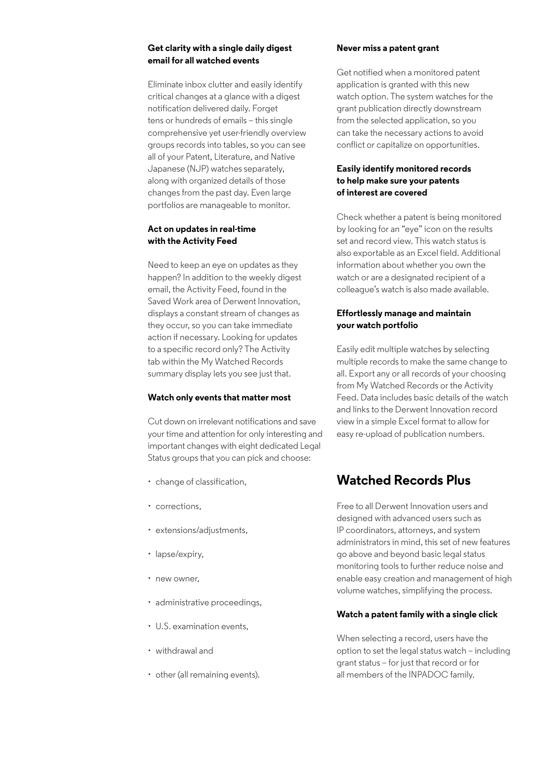#### **Get clarity with a single daily digest email for all watched events**

Eliminate inbox clutter and easily identify critical changes at a glance with a digest notification delivered daily. Forget tens or hundreds of emails – this single comprehensive yet user-friendly overview groups records into tables, so you can see all of your Patent, Literature, and Native Japanese (NJP) watches separately, along with organized details of those changes from the past day. Even large portfolios are manageable to monitor.

#### **Act on updates in real-time with the Activity Feed**

Need to keep an eye on updates as they happen? In addition to the weekly digest email, the Activity Feed, found in the Saved Work area of Derwent Innovation, displays a constant stream of changes as they occur, so you can take immediate action if necessary. Looking for updates to a specific record only? The Activity tab within the My Watched Records summary display lets you see just that.

#### **Watch only events that matter most**

Cut down on irrelevant notifications and save your time and attention for only interesting and important changes with eight dedicated Legal Status groups that you can pick and choose:

- change of classification,
- corrections,
- extensions/adjustments,
- lapse/expiry,
- new owner
- administrative proceedings,
- U.S. examination events,
- withdrawal and
- other (all remaining events).

#### **Never miss a patent grant**

Get notified when a monitored patent application is granted with this new watch option. The system watches for the grant publication directly downstream from the selected application, so you can take the necessary actions to avoid conflict or capitalize on opportunities.

#### **Easily identify monitored records to help make sure your patents of interest are covered**

Check whether a patent is being monitored by looking for an "eye" icon on the results set and record view. This watch status is also exportable as an Excel field. Additional information about whether you own the watch or are a designated recipient of a colleague's watch is also made available.

#### **Effortlessly manage and maintain your watch portfolio**

Easily edit multiple watches by selecting multiple records to make the same change to all. Export any or all records of your choosing from My Watched Records or the Activity Feed. Data includes basic details of the watch and links to the Derwent Innovation record view in a simple Excel format to allow for easy re-upload of publication numbers.

## **Watched Records Plus**

Free to all Derwent Innovation users and designed with advanced users such as IP coordinators, attorneys, and system administrators in mind, this set of new features go above and beyond basic legal status monitoring tools to further reduce noise and enable easy creation and management of high volume watches, simplifying the process.

#### **Watch a patent family with a single click**

When selecting a record, users have the option to set the legal status watch – including grant status – for just that record or for all members of the INPADOC family.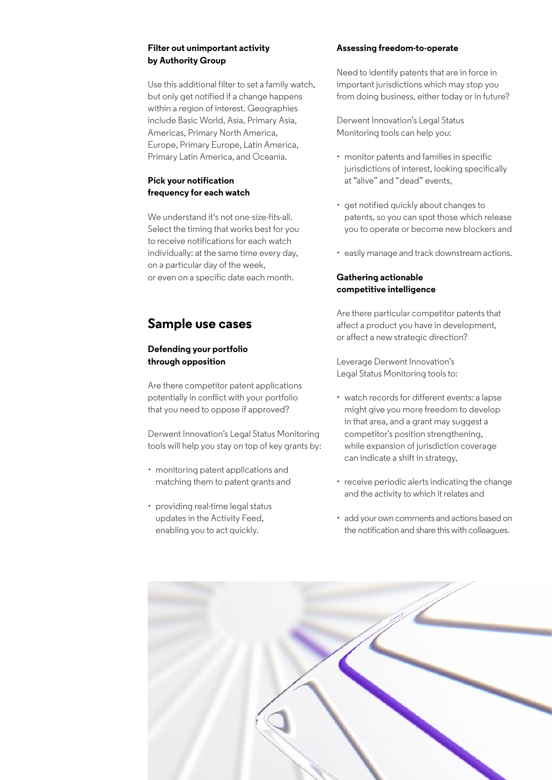#### **Filter out unimportant activity by Authority Group**

Use this additional filter to set a family watch, but only get notified if a change happens within a region of interest. Geographies include Basic World, Asia, Primary Asia, Americas, Primary North America, Europe, Primary Europe, Latin America, Primary Latin America, and Oceania.

#### **Pick your notification frequency for each watch**

We understand it's not one-size-fits-all. Select the timing that works best for you to receive notifications for each watch individually: at the same time every day, on a particular day of the week, or even on a specific date each month.

## **Sample use cases**

#### **Defending your portfolio through opposition**

Are there competitor patent applications potentially in conflict with your portfolio that you need to oppose if approved?

Derwent Innovation's Legal Status Monitoring tools will help you stay on top of key grants by:

- monitoring patent applications and matching them to patent grants and
- providing real-time legal status updates in the Activity Feed, enabling you to act quickly.

#### **Assessing freedom-to-operate**

Need to identify patents that are in force in important jurisdictions which may stop you from doing business, either today or in future?

Derwent Innovation's Legal Status Monitoring tools can help you:

- monitor patents and families in specific jurisdictions of interest, looking specifically at "alive" and "dead" events,
- get notified quickly about changes to patents, so you can spot those which release you to operate or become new blockers and
- easily manage and track downstream actions.

#### **Gathering actionable competitive intelligence**

Are there particular competitor patents that affect a product you have in development, or affect a new strategic direction?

Leverage Derwent Innovation's Legal Status Monitoring tools to:

- watch records for different events: a lapse might give you more freedom to develop in that area, and a grant may suggest a competitor's position strengthening, while expansion of jurisdiction coverage can indicate a shift in strategy,
- receive periodic alerts indicating the change and the activity to which it relates and
- add your own comments and actions based on the notification and share this with colleagues.